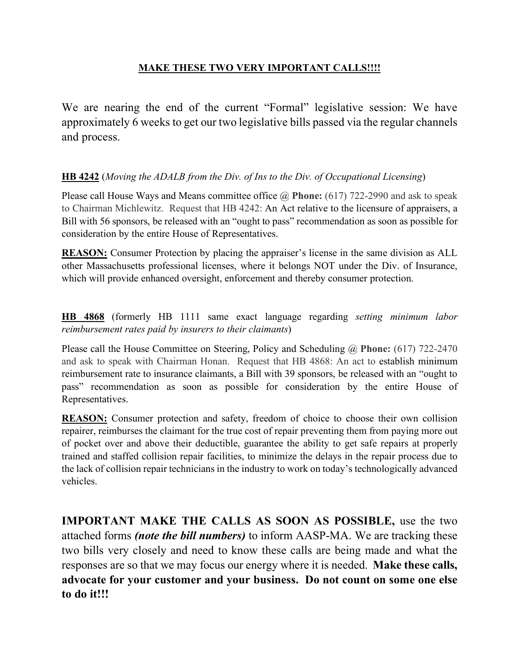## **MAKE THESE TWO VERY IMPORTANT CALLS!!!!**

We are nearing the end of the current "Formal" legislative session: We have approximately 6 weeks to get our two legislative bills passed via the regular channels and process.

## **HB 4242** (*Moving the ADALB from the Div. of Ins to the Div. of Occupational Licensing*)

Please call House Ways and Means committee office @ **Phone:** (617) 722-2990 and ask to speak to Chairman Michlewitz. Request that HB 4242: An Act relative to the licensure of appraisers, a Bill with 56 sponsors, be released with an "ought to pass" recommendation as soon as possible for consideration by the entire House of Representatives.

**REASON:** Consumer Protection by placing the appraiser's license in the same division as ALL other Massachusetts professional licenses, where it belongs NOT under the Div. of Insurance, which will provide enhanced oversight, enforcement and thereby consumer protection.

**HB 4868** (formerly HB 1111 same exact language regarding *setting minimum labor reimbursement rates paid by insurers to their claimants*)

Please call the House Committee on Steering, Policy and Scheduling @ **Phone:** (617) 722-2470 and ask to speak with Chairman Honan. Request that HB 4868: An act to establish minimum reimbursement rate to insurance claimants, a Bill with 39 sponsors, be released with an "ought to pass" recommendation as soon as possible for consideration by the entire House of Representatives.

**REASON:** Consumer protection and safety, freedom of choice to choose their own collision repairer, reimburses the claimant for the true cost of repair preventing them from paying more out of pocket over and above their deductible, guarantee the ability to get safe repairs at properly trained and staffed collision repair facilities, to minimize the delays in the repair process due to the lack of collision repair technicians in the industry to work on today's technologically advanced vehicles.

**IMPORTANT MAKE THE CALLS AS SOON AS POSSIBLE,** use the two attached forms *(note the bill numbers)* to inform AASP-MA. We are tracking these two bills very closely and need to know these calls are being made and what the responses are so that we may focus our energy where it is needed. **Make these calls, advocate for your customer and your business. Do not count on some one else to do it!!!**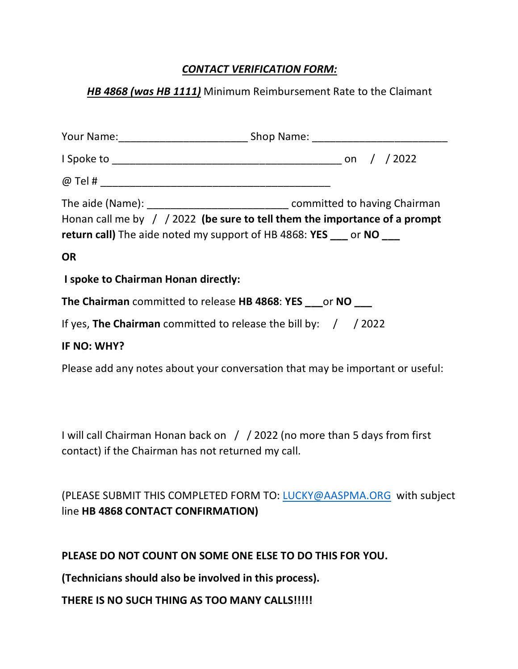# *CONTACT VERIFICATION FORM:*

## *HB 4868 (was HB 1111)* Minimum Reimbursement Rate to the Claimant

|                                                                    | The aide (Name): ___________________________________ committed to having Chairman |
|--------------------------------------------------------------------|-----------------------------------------------------------------------------------|
| return call) The aide noted my support of HB 4868: YES __ or NO __ | Honan call me by $\int$ / 2022 (be sure to tell them the importance of a prompt   |
| <b>OR</b>                                                          |                                                                                   |
| I spoke to Chairman Honan directly:                                |                                                                                   |
| The Chairman committed to release HB 4868: YES ___ or NO ___       |                                                                                   |
| If yes, The Chairman committed to release the bill by: $/$ / 2022  |                                                                                   |
| IF NO: WHY?                                                        |                                                                                   |
|                                                                    | Please add any notes about your conversation that may be important or useful:     |

I will call Chairman Honan back on / / 2022 (no more than 5 days from first contact) if the Chairman has not returned my call.

(PLEASE SUBMIT THIS COMPLETED FORM TO: LUCKY@AASPMA.ORG with subject line **HB 4868 CONTACT CONFIRMATION)**

**PLEASE DO NOT COUNT ON SOME ONE ELSE TO DO THIS FOR YOU.**

**(Technicians should also be involved in this process).** 

**THERE IS NO SUCH THING AS TOO MANY CALLS!!!!!**